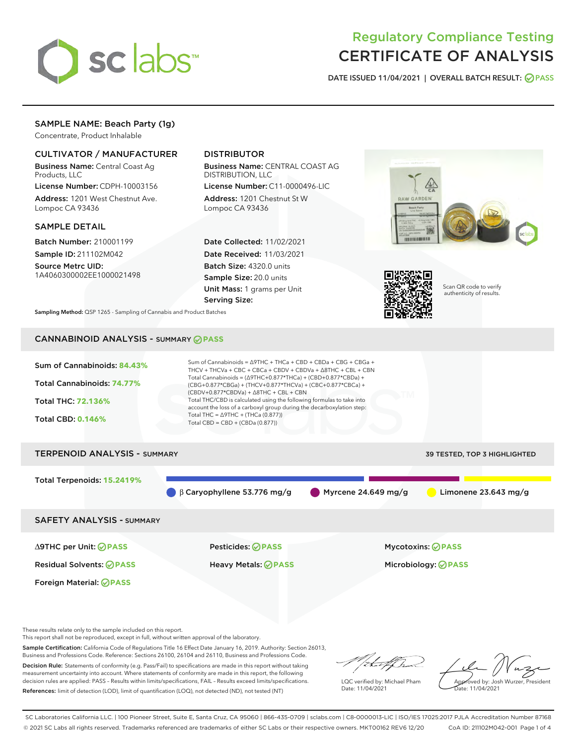

# Regulatory Compliance Testing CERTIFICATE OF ANALYSIS

DATE ISSUED 11/04/2021 | OVERALL BATCH RESULT: @ PASS

# SAMPLE NAME: Beach Party (1g)

Concentrate, Product Inhalable

# CULTIVATOR / MANUFACTURER

Business Name: Central Coast Ag Products, LLC

License Number: CDPH-10003156 Address: 1201 West Chestnut Ave. Lompoc CA 93436

#### SAMPLE DETAIL

Batch Number: 210001199 Sample ID: 211102M042

Source Metrc UID: 1A4060300002EE1000021498

# DISTRIBUTOR

Business Name: CENTRAL COAST AG DISTRIBUTION, LLC

License Number: C11-0000496-LIC Address: 1201 Chestnut St W Lompoc CA 93436

Date Collected: 11/02/2021 Date Received: 11/03/2021 Batch Size: 4320.0 units Sample Size: 20.0 units Unit Mass: 1 grams per Unit Serving Size:





Scan QR code to verify authenticity of results.

Sampling Method: QSP 1265 - Sampling of Cannabis and Product Batches

# CANNABINOID ANALYSIS - SUMMARY **PASS**



This report shall not be reproduced, except in full, without written approval of the laboratory.

Sample Certification: California Code of Regulations Title 16 Effect Date January 16, 2019. Authority: Section 26013, Business and Professions Code. Reference: Sections 26100, 26104 and 26110, Business and Professions Code.

Decision Rule: Statements of conformity (e.g. Pass/Fail) to specifications are made in this report without taking measurement uncertainty into account. Where statements of conformity are made in this report, the following decision rules are applied: PASS – Results within limits/specifications, FAIL – Results exceed limits/specifications. References: limit of detection (LOD), limit of quantification (LOQ), not detected (ND), not tested (NT)

that f h

LQC verified by: Michael Pham Date: 11/04/2021

Approved by: Josh Wurzer, President ate: 11/04/2021

SC Laboratories California LLC. | 100 Pioneer Street, Suite E, Santa Cruz, CA 95060 | 866-435-0709 | sclabs.com | C8-0000013-LIC | ISO/IES 17025:2017 PJLA Accreditation Number 87168 © 2021 SC Labs all rights reserved. Trademarks referenced are trademarks of either SC Labs or their respective owners. MKT00162 REV6 12/20 CoA ID: 211102M042-001 Page 1 of 4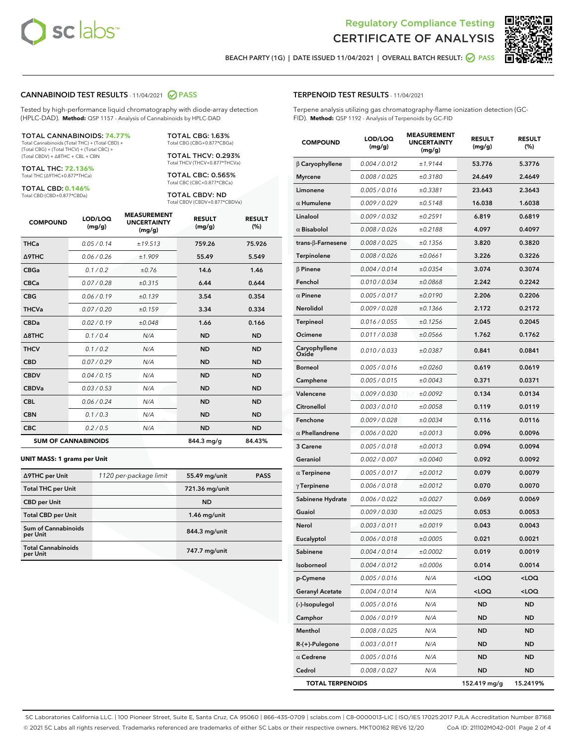



BEACH PARTY (1G) | DATE ISSUED 11/04/2021 | OVERALL BATCH RESULT: O PASS

#### CANNABINOID TEST RESULTS - 11/04/2021 2 PASS

Tested by high-performance liquid chromatography with diode-array detection (HPLC-DAD). **Method:** QSP 1157 - Analysis of Cannabinoids by HPLC-DAD

#### TOTAL CANNABINOIDS: **74.77%**

Total Cannabinoids (Total THC) + (Total CBD) + (Total CBG) + (Total THCV) + (Total CBC) + (Total CBDV) + ∆8THC + CBL + CBN

TOTAL THC: **72.136%** Total THC (∆9THC+0.877\*THCa)

TOTAL CBD: **0.146%** Total CBD (CBD+0.877\*CBDa)

TOTAL THCV: 0.293% Total THCV (THCV+0.877\*THCVa)

TOTAL CBG: 1.63% Total CBG (CBG+0.877\*CBGa)

TOTAL CBC: 0.565% Total CBC (CBC+0.877\*CBCa)

TOTAL CBDV: ND Total CBDV (CBDV+0.877\*CBDVa)

| <b>COMPOUND</b>  | LOD/LOQ<br>(mg/g)          | <b>MEASUREMENT</b><br><b>UNCERTAINTY</b><br>(mg/g) | <b>RESULT</b><br>(mg/g) | <b>RESULT</b><br>(%) |
|------------------|----------------------------|----------------------------------------------------|-------------------------|----------------------|
| <b>THCa</b>      | 0.05 / 0.14                | ±19.513                                            | 759.26                  | 75.926               |
| <b>A9THC</b>     | 0.06 / 0.26                | ±1.909                                             | 55.49                   | 5.549                |
| <b>CBGa</b>      | 0.1/0.2                    | ±0.76                                              | 14.6                    | 1.46                 |
| <b>CBCa</b>      | 0.07 / 0.28                | ±0.315                                             | 6.44                    | 0.644                |
| <b>CBG</b>       | 0.06/0.19                  | ±0.139                                             | 3.54                    | 0.354                |
| <b>THCVa</b>     | 0.07 / 0.20                | ±0.159                                             | 3.34                    | 0.334                |
| <b>CBDa</b>      | 0.02/0.19                  | ±0.048                                             | 1.66                    | 0.166                |
| $\triangle$ 8THC | 0.1/0.4                    | N/A                                                | <b>ND</b>               | <b>ND</b>            |
| <b>THCV</b>      | 0.1/0.2                    | N/A                                                | <b>ND</b>               | <b>ND</b>            |
| <b>CBD</b>       | 0.07/0.29                  | N/A                                                | <b>ND</b>               | <b>ND</b>            |
| <b>CBDV</b>      | 0.04 / 0.15                | N/A                                                | <b>ND</b>               | <b>ND</b>            |
| <b>CBDVa</b>     | 0.03 / 0.53                | N/A                                                | <b>ND</b>               | <b>ND</b>            |
| <b>CBL</b>       | 0.06 / 0.24                | N/A                                                | <b>ND</b>               | <b>ND</b>            |
| <b>CBN</b>       | 0.1 / 0.3                  | N/A                                                | <b>ND</b>               | <b>ND</b>            |
| <b>CBC</b>       | 0.2 / 0.5                  | N/A                                                | <b>ND</b>               | <b>ND</b>            |
|                  | <b>SUM OF CANNABINOIDS</b> |                                                    | 844.3 mg/g              | 84.43%               |

#### **UNIT MASS: 1 grams per Unit**

| ∆9THC per Unit                        | 1120 per-package limit | 55.49 mg/unit  | <b>PASS</b> |
|---------------------------------------|------------------------|----------------|-------------|
| <b>Total THC per Unit</b>             |                        | 721.36 mg/unit |             |
| <b>CBD</b> per Unit                   |                        | <b>ND</b>      |             |
| <b>Total CBD per Unit</b>             |                        | $1.46$ mg/unit |             |
| Sum of Cannabinoids<br>per Unit       |                        | 844.3 mg/unit  |             |
| <b>Total Cannabinoids</b><br>per Unit |                        | 747.7 mg/unit  |             |

#### TERPENOID TEST RESULTS - 11/04/2021

Terpene analysis utilizing gas chromatography-flame ionization detection (GC-FID). **Method:** QSP 1192 - Analysis of Terpenoids by GC-FID

| <b>COMPOUND</b>           | LOD/LOQ<br>(mg/g) | <b>MEASUREMENT</b><br><b>UNCERTAINTY</b><br>(mg/g) | <b>RESULT</b><br>(mg/g)                          | <b>RESULT</b><br>(%) |
|---------------------------|-------------------|----------------------------------------------------|--------------------------------------------------|----------------------|
| $\beta$ Caryophyllene     | 0.004 / 0.012     | ±1.9144                                            | 53.776                                           | 5.3776               |
| <b>Myrcene</b>            | 0.008 / 0.025     | ±0.3180                                            | 24.649                                           | 2.4649               |
| Limonene                  | 0.005 / 0.016     | ±0.3381                                            | 23.643                                           | 2.3643               |
| $\alpha$ Humulene         | 0.009 / 0.029     | ±0.5148                                            | 16.038                                           | 1.6038               |
| Linalool                  | 0.009 / 0.032     | ±0.2591                                            | 6.819                                            | 0.6819               |
| $\alpha$ Bisabolol        | 0.008 / 0.026     | ±0.2188                                            | 4.097                                            | 0.4097               |
| trans- $\beta$ -Farnesene | 0.008 / 0.025     | ±0.1356                                            | 3.820                                            | 0.3820               |
| Terpinolene               | 0.008 / 0.026     | ±0.0661                                            | 3.226                                            | 0.3226               |
| $\beta$ Pinene            | 0.004 / 0.014     | ±0.0354                                            | 3.074                                            | 0.3074               |
| Fenchol                   | 0.010 / 0.034     | ±0.0868                                            | 2.242                                            | 0.2242               |
| $\alpha$ Pinene           | 0.005 / 0.017     | ±0.0190                                            | 2.206                                            | 0.2206               |
| <b>Nerolidol</b>          | 0.009 / 0.028     | ±0.1366                                            | 2.172                                            | 0.2172               |
| <b>Terpineol</b>          | 0.016 / 0.055     | ±0.1256                                            | 2.045                                            | 0.2045               |
| Ocimene                   | 0.011 / 0.038     | ±0.0566                                            | 1.762                                            | 0.1762               |
| Caryophyllene<br>Oxide    | 0.010 / 0.033     | ±0.0387                                            | 0.841                                            | 0.0841               |
| <b>Borneol</b>            | 0.005 / 0.016     | ±0.0260                                            | 0.619                                            | 0.0619               |
| Camphene                  | 0.005 / 0.015     | ±0.0043                                            | 0.371                                            | 0.0371               |
| Valencene                 | 0.009 / 0.030     | ±0.0092                                            | 0.134                                            | 0.0134               |
| Citronellol               | 0.003 / 0.010     | ±0.0058                                            | 0.119                                            | 0.0119               |
| Fenchone                  | 0.009 / 0.028     | ±0.0034                                            | 0.116                                            | 0.0116               |
| $\alpha$ Phellandrene     | 0.006 / 0.020     | ±0.0013                                            | 0.096                                            | 0.0096               |
| 3 Carene                  | 0.005 / 0.018     | ±0.0013                                            | 0.094                                            | 0.0094               |
| Geraniol                  | 0.002 / 0.007     | ±0.0040                                            | 0.092                                            | 0.0092               |
| $\alpha$ Terpinene        | 0.005 / 0.017     | ±0.0012                                            | 0.079                                            | 0.0079               |
| $\gamma$ Terpinene        | 0.006 / 0.018     | ±0.0012                                            | 0.070                                            | 0.0070               |
| Sabinene Hydrate          | 0.006 / 0.022     | ±0.0027                                            | 0.069                                            | 0.0069               |
| Guaiol                    | 0.009 / 0.030     | ±0.0025                                            | 0.053                                            | 0.0053               |
| Nerol                     | 0.003 / 0.011     | ±0.0019                                            | 0.043                                            | 0.0043               |
| Eucalyptol                | 0.006 / 0.018     | ±0.0005                                            | 0.021                                            | 0.0021               |
| Sabinene                  | 0.004 / 0.014     | ±0.0002                                            | 0.019                                            | 0.0019               |
| Isoborneol                | 0.004 / 0.012     | ±0.0006                                            | 0.014                                            | 0.0014               |
| p-Cymene                  | 0.005 / 0.016     | N/A                                                | <loq< th=""><th><loq< th=""></loq<></th></loq<>  | <loq< th=""></loq<>  |
| <b>Geranyl Acetate</b>    | 0.004 / 0.014     | N/A                                                | <loq< th=""><th><math>&lt;</math>LOQ</th></loq<> | $<$ LOQ              |
| (-)-Isopulegol            | 0.005 / 0.016     | N/A                                                | ND                                               | ND                   |
| Camphor                   | 0.006 / 0.019     | N/A                                                | ND                                               | ND                   |
| Menthol                   | 0.008 / 0.025     | N/A                                                | <b>ND</b>                                        | <b>ND</b>            |
| R-(+)-Pulegone            | 0.003 / 0.011     | N/A                                                | ND                                               | ND                   |
| $\alpha$ Cedrene          | 0.005 / 0.016     | N/A                                                | <b>ND</b>                                        | ND                   |
| Cedrol                    | 0.008 / 0.027     | N/A                                                | <b>ND</b>                                        | ND                   |
| <b>TOTAL TERPENOIDS</b>   |                   |                                                    | 152.419 mg/g                                     | 15.2419%             |

SC Laboratories California LLC. | 100 Pioneer Street, Suite E, Santa Cruz, CA 95060 | 866-435-0709 | sclabs.com | C8-0000013-LIC | ISO/IES 17025:2017 PJLA Accreditation Number 87168 © 2021 SC Labs all rights reserved. Trademarks referenced are trademarks of either SC Labs or their respective owners. MKT00162 REV6 12/20 CoA ID: 211102M042-001 Page 2 of 4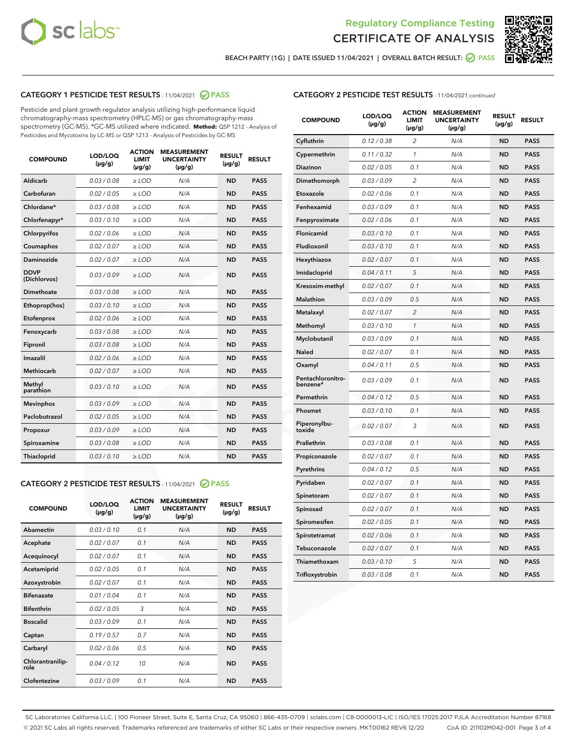



BEACH PARTY (1G) | DATE ISSUED 11/04/2021 | OVERALL BATCH RESULT: ● PASS

# CATEGORY 1 PESTICIDE TEST RESULTS - 11/04/2021 2 PASS

Pesticide and plant growth regulator analysis utilizing high-performance liquid chromatography-mass spectrometry (HPLC-MS) or gas chromatography-mass spectrometry (GC-MS). \*GC-MS utilized where indicated. **Method:** QSP 1212 - Analysis of Pesticides and Mycotoxins by LC-MS or QSP 1213 - Analysis of Pesticides by GC-MS

| <b>COMPOUND</b>             | LOD/LOQ<br>$(\mu g/g)$ | <b>ACTION</b><br><b>LIMIT</b><br>$(\mu q/q)$ | <b>MEASUREMENT</b><br><b>UNCERTAINTY</b><br>$(\mu g/g)$ | <b>RESULT</b><br>$(\mu g/g)$ | <b>RESULT</b> |
|-----------------------------|------------------------|----------------------------------------------|---------------------------------------------------------|------------------------------|---------------|
| Aldicarb                    | 0.03/0.08              | $\ge$ LOD                                    | N/A                                                     | <b>ND</b>                    | <b>PASS</b>   |
| Carbofuran                  | 0.02 / 0.05            | $\geq$ LOD                                   | N/A                                                     | <b>ND</b>                    | <b>PASS</b>   |
| Chlordane*                  | 0.03 / 0.08            | $\ge$ LOD                                    | N/A                                                     | <b>ND</b>                    | <b>PASS</b>   |
| Chlorfenapyr*               | 0.03/0.10              | $\geq$ LOD                                   | N/A                                                     | <b>ND</b>                    | <b>PASS</b>   |
| Chlorpyrifos                | 0.02 / 0.06            | $\ge$ LOD                                    | N/A                                                     | <b>ND</b>                    | <b>PASS</b>   |
| Coumaphos                   | 0.02 / 0.07            | $\ge$ LOD                                    | N/A                                                     | <b>ND</b>                    | <b>PASS</b>   |
| Daminozide                  | 0.02 / 0.07            | $\ge$ LOD                                    | N/A                                                     | <b>ND</b>                    | <b>PASS</b>   |
| <b>DDVP</b><br>(Dichlorvos) | 0.03/0.09              | $\ge$ LOD                                    | N/A                                                     | <b>ND</b>                    | <b>PASS</b>   |
| Dimethoate                  | 0.03 / 0.08            | $\ge$ LOD                                    | N/A                                                     | <b>ND</b>                    | <b>PASS</b>   |
| Ethoprop(hos)               | 0.03/0.10              | $\ge$ LOD                                    | N/A                                                     | <b>ND</b>                    | <b>PASS</b>   |
| Etofenprox                  | 0.02/0.06              | $>$ LOD                                      | N/A                                                     | <b>ND</b>                    | <b>PASS</b>   |
| Fenoxycarb                  | 0.03 / 0.08            | $\ge$ LOD                                    | N/A                                                     | <b>ND</b>                    | <b>PASS</b>   |
| Fipronil                    | 0.03/0.08              | $>$ LOD                                      | N/A                                                     | <b>ND</b>                    | <b>PASS</b>   |
| Imazalil                    | 0.02 / 0.06            | $\ge$ LOD                                    | N/A                                                     | <b>ND</b>                    | <b>PASS</b>   |
| Methiocarb                  | 0.02 / 0.07            | $\ge$ LOD                                    | N/A                                                     | <b>ND</b>                    | <b>PASS</b>   |
| Methyl<br>parathion         | 0.03/0.10              | $>$ LOD                                      | N/A                                                     | <b>ND</b>                    | <b>PASS</b>   |
| <b>Mevinphos</b>            | 0.03/0.09              | $>$ LOD                                      | N/A                                                     | <b>ND</b>                    | <b>PASS</b>   |
| Paclobutrazol               | 0.02 / 0.05            | $>$ LOD                                      | N/A                                                     | <b>ND</b>                    | <b>PASS</b>   |
| Propoxur                    | 0.03/0.09              | $\ge$ LOD                                    | N/A                                                     | <b>ND</b>                    | <b>PASS</b>   |
| Spiroxamine                 | 0.03 / 0.08            | $\ge$ LOD                                    | N/A                                                     | <b>ND</b>                    | <b>PASS</b>   |
| Thiacloprid                 | 0.03/0.10              | $\ge$ LOD                                    | N/A                                                     | <b>ND</b>                    | <b>PASS</b>   |

#### CATEGORY 2 PESTICIDE TEST RESULTS - 11/04/2021 @ PASS

| <b>COMPOUND</b>          | LOD/LOO<br>$(\mu g/g)$ | <b>ACTION</b><br>LIMIT<br>$(\mu g/g)$ | <b>MEASUREMENT</b><br><b>UNCERTAINTY</b><br>$(\mu g/g)$ | <b>RESULT</b><br>$(\mu g/g)$ | <b>RESULT</b> |  |
|--------------------------|------------------------|---------------------------------------|---------------------------------------------------------|------------------------------|---------------|--|
| Abamectin                | 0.03/0.10              | 0.1                                   | N/A                                                     | <b>ND</b>                    | <b>PASS</b>   |  |
| Acephate                 | 0.02/0.07              | 0.1                                   | N/A                                                     | <b>ND</b>                    | <b>PASS</b>   |  |
| Acequinocyl              | 0.02/0.07              | 0.1                                   | N/A                                                     | <b>ND</b>                    | <b>PASS</b>   |  |
| Acetamiprid              | 0.02 / 0.05            | 0.1                                   | N/A                                                     | <b>ND</b>                    | <b>PASS</b>   |  |
| Azoxystrobin             | 0.02/0.07              | 0.1                                   | N/A                                                     | <b>ND</b>                    | <b>PASS</b>   |  |
| <b>Bifenazate</b>        | 0.01 / 0.04            | 0.1                                   | N/A                                                     | <b>ND</b>                    | <b>PASS</b>   |  |
| <b>Bifenthrin</b>        | 0.02 / 0.05            | 3                                     | N/A                                                     | <b>ND</b>                    | <b>PASS</b>   |  |
| <b>Boscalid</b>          | 0.03/0.09              | 0.1                                   | N/A                                                     | <b>ND</b>                    | <b>PASS</b>   |  |
| Captan                   | 0.19/0.57              | 0.7                                   | N/A                                                     | <b>ND</b>                    | <b>PASS</b>   |  |
| Carbaryl                 | 0.02/0.06              | 0.5                                   | N/A                                                     | <b>ND</b>                    | <b>PASS</b>   |  |
| Chlorantranilip-<br>role | 0.04/0.12              | 10                                    | N/A                                                     | <b>ND</b>                    | <b>PASS</b>   |  |
| Clofentezine             | 0.03/0.09              | 0.1                                   | N/A                                                     | <b>ND</b>                    | <b>PASS</b>   |  |

| <b>CATEGORY 2 PESTICIDE TEST RESULTS</b> - 11/04/2021 continued |  |
|-----------------------------------------------------------------|--|
|                                                                 |  |

| <b>COMPOUND</b>               | LOD/LOQ<br>(µg/g) | <b>ACTION</b><br>LIMIT<br>(µg/g) | <b>MEASUREMENT</b><br><b>UNCERTAINTY</b><br>$(\mu g/g)$ | <b>RESULT</b><br>(µg/g) | <b>RESULT</b> |
|-------------------------------|-------------------|----------------------------------|---------------------------------------------------------|-------------------------|---------------|
| Cyfluthrin                    | 0.12 / 0.38       | $\overline{c}$                   | N/A                                                     | <b>ND</b>               | <b>PASS</b>   |
| Cypermethrin                  | 0.11/0.32         | 1                                | N/A                                                     | <b>ND</b>               | <b>PASS</b>   |
| <b>Diazinon</b>               | 0.02 / 0.05       | 0.1                              | N/A                                                     | <b>ND</b>               | <b>PASS</b>   |
| Dimethomorph                  | 0.03 / 0.09       | 2                                | N/A                                                     | ND                      | <b>PASS</b>   |
| Etoxazole                     | 0.02 / 0.06       | 0.1                              | N/A                                                     | ND                      | <b>PASS</b>   |
| Fenhexamid                    | 0.03 / 0.09       | 0.1                              | N/A                                                     | <b>ND</b>               | <b>PASS</b>   |
| Fenpyroximate                 | 0.02 / 0.06       | 0.1                              | N/A                                                     | <b>ND</b>               | <b>PASS</b>   |
| Flonicamid                    | 0.03/0.10         | 0.1                              | N/A                                                     | <b>ND</b>               | <b>PASS</b>   |
| Fludioxonil                   | 0.03/0.10         | 0.1                              | N/A                                                     | <b>ND</b>               | <b>PASS</b>   |
| Hexythiazox                   | 0.02 / 0.07       | 0.1                              | N/A                                                     | <b>ND</b>               | <b>PASS</b>   |
| Imidacloprid                  | 0.04 / 0.11       | 5                                | N/A                                                     | <b>ND</b>               | <b>PASS</b>   |
| Kresoxim-methyl               | 0.02 / 0.07       | 0.1                              | N/A                                                     | ND                      | <b>PASS</b>   |
| Malathion                     | 0.03 / 0.09       | 0.5                              | N/A                                                     | <b>ND</b>               | <b>PASS</b>   |
| Metalaxyl                     | 0.02 / 0.07       | $\overline{c}$                   | N/A                                                     | ND                      | <b>PASS</b>   |
| Methomyl                      | 0.03 / 0.10       | 1                                | N/A                                                     | <b>ND</b>               | <b>PASS</b>   |
| Myclobutanil                  | 0.03 / 0.09       | 0.1                              | N/A                                                     | <b>ND</b>               | <b>PASS</b>   |
| Naled                         | 0.02 / 0.07       | 0.1                              | N/A                                                     | <b>ND</b>               | <b>PASS</b>   |
| Oxamyl                        | 0.04 / 0.11       | 0.5                              | N/A                                                     | ND                      | <b>PASS</b>   |
| Pentachloronitro-<br>benzene* | 0.03 / 0.09       | 0.1                              | N/A                                                     | ND                      | <b>PASS</b>   |
| Permethrin                    | 0.04 / 0.12       | 0.5                              | N/A                                                     | <b>ND</b>               | <b>PASS</b>   |
| Phosmet                       | 0.03 / 0.10       | 0.1                              | N/A                                                     | <b>ND</b>               | <b>PASS</b>   |
| Piperonylbu-<br>toxide        | 0.02 / 0.07       | 3                                | N/A                                                     | <b>ND</b>               | <b>PASS</b>   |
| Prallethrin                   | 0.03 / 0.08       | 0.1                              | N/A                                                     | <b>ND</b>               | <b>PASS</b>   |
| Propiconazole                 | 0.02 / 0.07       | 0.1                              | N/A                                                     | <b>ND</b>               | <b>PASS</b>   |
| Pyrethrins                    | 0.04 / 0.12       | 0.5                              | N/A                                                     | <b>ND</b>               | <b>PASS</b>   |
| Pyridaben                     | 0.02 / 0.07       | 0.1                              | N/A                                                     | ND                      | <b>PASS</b>   |
| Spinetoram                    | 0.02 / 0.07       | 0.1                              | N/A                                                     | <b>ND</b>               | <b>PASS</b>   |
| Spinosad                      | 0.02 / 0.07       | 0.1                              | N/A                                                     | <b>ND</b>               | <b>PASS</b>   |
| Spiromesifen                  | 0.02 / 0.05       | 0.1                              | N/A                                                     | ND                      | PASS          |
| Spirotetramat                 | 0.02 / 0.06       | 0.1                              | N/A                                                     | <b>ND</b>               | <b>PASS</b>   |
| Tebuconazole                  | 0.02 / 0.07       | 0.1                              | N/A                                                     | <b>ND</b>               | <b>PASS</b>   |
| Thiamethoxam                  | 0.03 / 0.10       | 5                                | N/A                                                     | ND                      | <b>PASS</b>   |
| Trifloxystrobin               | 0.03 / 0.08       | 0.1                              | N/A                                                     | ND                      | <b>PASS</b>   |

SC Laboratories California LLC. | 100 Pioneer Street, Suite E, Santa Cruz, CA 95060 | 866-435-0709 | sclabs.com | C8-0000013-LIC | ISO/IES 17025:2017 PJLA Accreditation Number 87168 © 2021 SC Labs all rights reserved. Trademarks referenced are trademarks of either SC Labs or their respective owners. MKT00162 REV6 12/20 CoA ID: 211102M042-001 Page 3 of 4